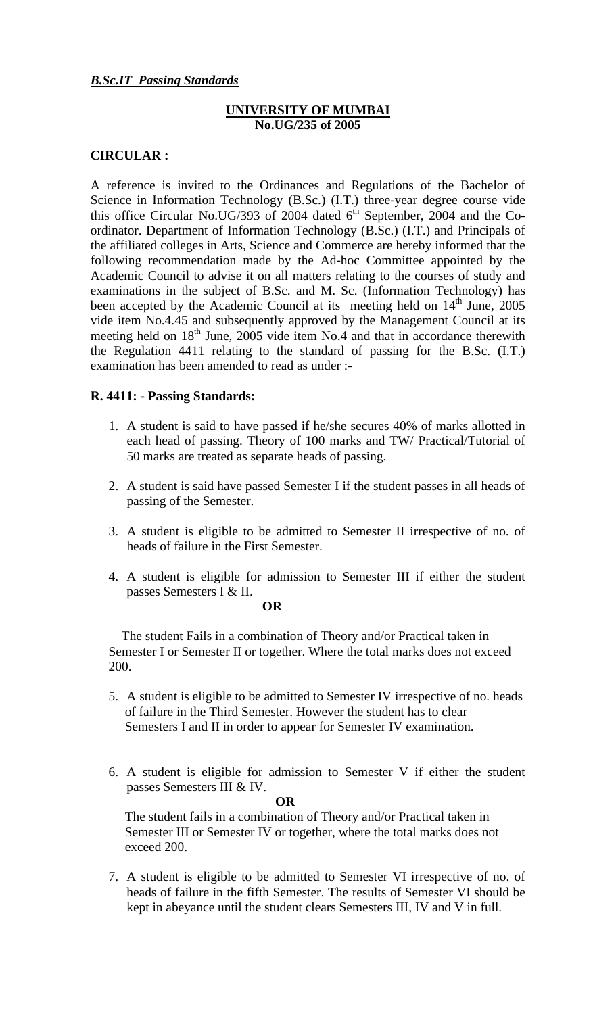## *B.Sc.IT Passing Standards*

## **UNIVERSITY OF MUMBAI No.UG/235 of 2005**

## **CIRCULAR :**

A reference is invited to the Ordinances and Regulations of the Bachelor of Science in Information Technology (B.Sc.) (I.T.) three-year degree course vide this office Circular No.UG/393 of 2004 dated  $6<sup>th</sup>$  September, 2004 and the Coordinator. Department of Information Technology (B.Sc.) (I.T.) and Principals of the affiliated colleges in Arts, Science and Commerce are hereby informed that the following recommendation made by the Ad-hoc Committee appointed by the Academic Council to advise it on all matters relating to the courses of study and examinations in the subject of B.Sc. and M. Sc. (Information Technology) has been accepted by the Academic Council at its meeting held on  $14<sup>th</sup>$  June, 2005 vide item No.4.45 and subsequently approved by the Management Council at its meeting held on  $18<sup>th</sup>$  June, 2005 vide item No.4 and that in accordance therewith the Regulation 4411 relating to the standard of passing for the B.Sc. (I.T.) examination has been amended to read as under :-

## **R. 4411: - Passing Standards:**

- 1. A student is said to have passed if he/she secures 40% of marks allotted in each head of passing. Theory of 100 marks and TW/ Practical/Tutorial of 50 marks are treated as separate heads of passing.
- 2. A student is said have passed Semester I if the student passes in all heads of passing of the Semester.
- 3. A student is eligible to be admitted to Semester II irrespective of no. of heads of failure in the First Semester.
- 4. A student is eligible for admission to Semester III if either the student passes Semesters I & II.

**OR** 

The student Fails in a combination of Theory and/or Practical taken in Semester I or Semester II or together. Where the total marks does not exceed 200.

- 5. A student is eligible to be admitted to Semester IV irrespective of no. heads of failure in the Third Semester. However the student has to clear Semesters I and II in order to appear for Semester IV examination.
- 6. A student is eligible for admission to Semester V if either the student passes Semesters III & IV.

**OR** 

The student fails in a combination of Theory and/or Practical taken in Semester III or Semester IV or together, where the total marks does not exceed 200.

7. A student is eligible to be admitted to Semester VI irrespective of no. of heads of failure in the fifth Semester. The results of Semester VI should be kept in abeyance until the student clears Semesters III, IV and V in full.